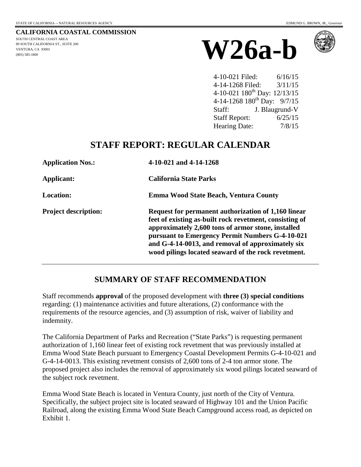#### **CALIFORNIA COASTAL COMMISSION** SOUTH CENTRAL COAST AREA 89 SOUTH CALIFORNIA ST., SUITE 200 VENTURA, CA 93001 (805) 585-1800





4-10-021 Filed: 6/16/15 4-14-1268 Filed: 3/11/15 4-10-021 180<sup>th</sup> Day: 12/13/15 4-14-1268 180<sup>th</sup> Day:  $9/7/15$ Staff: J. Blaugrund-V Staff Report: 6/25/15 Hearing Date:  $7/8/15$ 

## **STAFF REPORT: REGULAR CALENDAR**

| <b>Application Nos.:</b>    | 4-10-021 and 4-14-1268                                                                                                                                                                                                                                                                                                              |  |
|-----------------------------|-------------------------------------------------------------------------------------------------------------------------------------------------------------------------------------------------------------------------------------------------------------------------------------------------------------------------------------|--|
| Applicant:                  | <b>California State Parks</b>                                                                                                                                                                                                                                                                                                       |  |
| <b>Location:</b>            | <b>Emma Wood State Beach, Ventura County</b>                                                                                                                                                                                                                                                                                        |  |
| <b>Project description:</b> | Request for permanent authorization of 1,160 linear<br>feet of existing as-built rock revetment, consisting of<br>approximately 2,600 tons of armor stone, installed<br>pursuant to Emergency Permit Numbers G-4-10-021<br>and G-4-14-0013, and removal of approximately six<br>wood pilings located seaward of the rock revetment. |  |

### **SUMMARY OF STAFF RECOMMENDATION**

Staff recommends **approval** of the proposed development with **three (3) special conditions** regarding: (1) maintenance activities and future alterations, (2) conformance with the requirements of the resource agencies, and (3) assumption of risk, waiver of liability and indemnity.

The California Department of Parks and Recreation ("State Parks") is requesting permanent authorization of 1,160 linear feet of existing rock revetment that was previously installed at Emma Wood State Beach pursuant to Emergency Coastal Development Permits G-4-10-021 and G-4-14-0013. This existing revetment consists of 2,600 tons of 2-4 ton armor stone. The proposed project also includes the removal of approximately six wood pilings located seaward of the subject rock revetment.

Emma Wood State Beach is located in Ventura County, just north of the City of Ventura. Specifically, the subject project site is located seaward of Highway 101 and the Union Pacific Railroad, along the existing Emma Wood State Beach Campground access road, as depicted on Exhibit 1.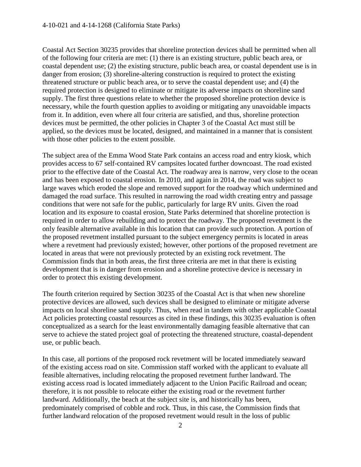Coastal Act Section 30235 provides that shoreline protection devices shall be permitted when all of the following four criteria are met: (1) there is an existing structure, public beach area, or coastal dependent use; (2) the existing structure, public beach area, or coastal dependent use is in danger from erosion; (3) shoreline-altering construction is required to protect the existing threatened structure or public beach area, or to serve the coastal dependent use; and (4) the required protection is designed to eliminate or mitigate its adverse impacts on shoreline sand supply. The first three questions relate to whether the proposed shoreline protection device is necessary, while the fourth question applies to avoiding or mitigating any unavoidable impacts from it. In addition, even where all four criteria are satisfied, and thus, shoreline protection devices must be permitted, the other policies in Chapter 3 of the Coastal Act must still be applied, so the devices must be located, designed, and maintained in a manner that is consistent with those other policies to the extent possible.

The subject area of the Emma Wood State Park contains an access road and entry kiosk, which provides access to 67 self-contained RV campsites located further downcoast. The road existed prior to the effective date of the Coastal Act. The roadway area is narrow, very close to the ocean and has been exposed to coastal erosion. In 2010, and again in 2014, the road was subject to large waves which eroded the slope and removed support for the roadway which undermined and damaged the road surface. This resulted in narrowing the road width creating entry and passage conditions that were not safe for the public, particularly for large RV units. Given the road location and its exposure to coastal erosion, State Parks determined that shoreline protection is required in order to allow rebuilding and to protect the roadway. The proposed revetment is the only feasible alternative available in this location that can provide such protection. A portion of the proposed revetment installed pursuant to the subject emergency permits is located in areas where a revetment had previously existed; however, other portions of the proposed revetment are located in areas that were not previously protected by an existing rock revetment. The Commission finds that in both areas, the first three criteria are met in that there is existing development that is in danger from erosion and a shoreline protective device is necessary in order to protect this existing development.

The fourth criterion required by Section 30235 of the Coastal Act is that when new shoreline protective devices are allowed, such devices shall be designed to eliminate or mitigate adverse impacts on local shoreline sand supply. Thus, when read in tandem with other applicable Coastal Act policies protecting coastal resources as cited in these findings, this 30235 evaluation is often conceptualized as a search for the least environmentally damaging feasible alternative that can serve to achieve the stated project goal of protecting the threatened structure, coastal-dependent use, or public beach.

In this case, all portions of the proposed rock revetment will be located immediately seaward of the existing access road on site. Commission staff worked with the applicant to evaluate all feasible alternatives, including relocating the proposed revetment further landward. The existing access road is located immediately adjacent to the Union Pacific Railroad and ocean; therefore, it is not possible to relocate either the existing road or the revetment further landward. Additionally, the beach at the subject site is, and historically has been, predominately comprised of cobble and rock. Thus, in this case, the Commission finds that further landward relocation of the proposed revetment would result in the loss of public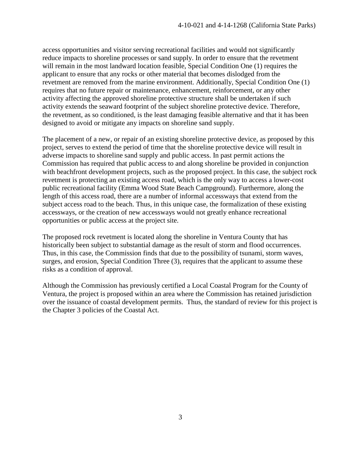access opportunities and visitor serving recreational facilities and would not significantly reduce impacts to shoreline processes or sand supply. In order to ensure that the revetment will remain in the most landward location feasible, Special Condition One (1) requires the applicant to ensure that any rocks or other material that becomes dislodged from the revetment are removed from the marine environment. Additionally, Special Condition One (1) requires that no future repair or maintenance, enhancement, reinforcement, or any other activity affecting the approved shoreline protective structure shall be undertaken if such activity extends the seaward footprint of the subject shoreline protective device. Therefore, the revetment, as so conditioned, is the least damaging feasible alternative and that it has been designed to avoid or mitigate any impacts on shoreline sand supply.

The placement of a new, or repair of an existing shoreline protective device, as proposed by this project, serves to extend the period of time that the shoreline protective device will result in adverse impacts to shoreline sand supply and public access. In past permit actions the Commission has required that public access to and along shoreline be provided in conjunction with beachfront development projects, such as the proposed project. In this case, the subject rock revetment is protecting an existing access road, which is the only way to access a lower-cost public recreational facility (Emma Wood State Beach Campground). Furthermore, along the length of this access road, there are a number of informal accessways that extend from the subject access road to the beach. Thus, in this unique case, the formalization of these existing accessways, or the creation of new accessways would not greatly enhance recreational opportunities or public access at the project site.

The proposed rock revetment is located along the shoreline in Ventura County that has historically been subject to substantial damage as the result of storm and flood occurrences. Thus, in this case, the Commission finds that due to the possibility of tsunami, storm waves, surges, and erosion, Special Condition Three (3), requires that the applicant to assume these risks as a condition of approval.

Although the Commission has previously certified a Local Coastal Program for the County of Ventura, the project is proposed within an area where the Commission has retained jurisdiction over the issuance of coastal development permits. Thus, the standard of review for this project is the Chapter 3 policies of the Coastal Act.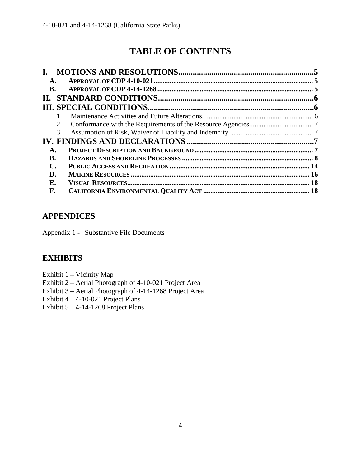# **TABLE OF CONTENTS**

| L.             |    |  |
|----------------|----|--|
| $\mathbf{A}$ . |    |  |
| <b>B.</b>      |    |  |
|                |    |  |
|                |    |  |
|                |    |  |
|                | 2. |  |
|                | 3. |  |
|                |    |  |
| A.             |    |  |
| B.             |    |  |
| С.             |    |  |
| D.             |    |  |
| Е.             |    |  |
| F.             |    |  |

### **APPENDICES**

Appendix 1 - Substantive File Documents

### **EXHIBITS**

- Exhibit 1 Vicinity Map
- Exhibit 2 Aerial Photograph of 4-10-021 Project Area
- Exhibit 3 Aerial Photograph of 4-14-1268 Project Area
- Exhibit 4 4-10-021 Project Plans
- Exhibit 5 4-14-1268 Project Plans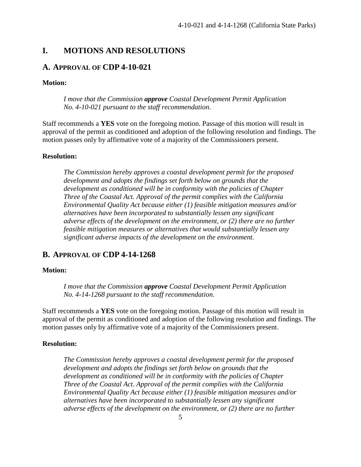### <span id="page-4-0"></span>**I. MOTIONS AND RESOLUTIONS**

### <span id="page-4-1"></span>**A. APPROVAL OF CDP 4-10-021**

#### **Motion:**

*I move that the Commission approve Coastal Development Permit Application No. 4-10-021 pursuant to the staff recommendation.* 

Staff recommends a **YES** vote on the foregoing motion. Passage of this motion will result in approval of the permit as conditioned and adoption of the following resolution and findings. The motion passes only by affirmative vote of a majority of the Commissioners present.

### **Resolution:**

*The Commission hereby approves a coastal development permit for the proposed development and adopts the findings set forth below on grounds that the development as conditioned will be in conformity with the policies of Chapter Three of the Coastal Act. Approval of the permit complies with the California Environmental Quality Act because either (1) feasible mitigation measures and/or alternatives have been incorporated to substantially lessen any significant adverse effects of the development on the environment, or (2) there are no further feasible mitigation measures or alternatives that would substantially lessen any significant adverse impacts of the development on the environment.* 

### <span id="page-4-2"></span>**B. APPROVAL OF CDP 4-14-1268**

#### **Motion:**

*I move that the Commission approve Coastal Development Permit Application No. 4-14-1268 pursuant to the staff recommendation.* 

Staff recommends a **YES** vote on the foregoing motion. Passage of this motion will result in approval of the permit as conditioned and adoption of the following resolution and findings. The motion passes only by affirmative vote of a majority of the Commissioners present.

#### **Resolution:**

*The Commission hereby approves a coastal development permit for the proposed development and adopts the findings set forth below on grounds that the development as conditioned will be in conformity with the policies of Chapter Three of the Coastal Act. Approval of the permit complies with the California Environmental Quality Act because either (1) feasible mitigation measures and/or alternatives have been incorporated to substantially lessen any significant adverse effects of the development on the environment, or (2) there are no further*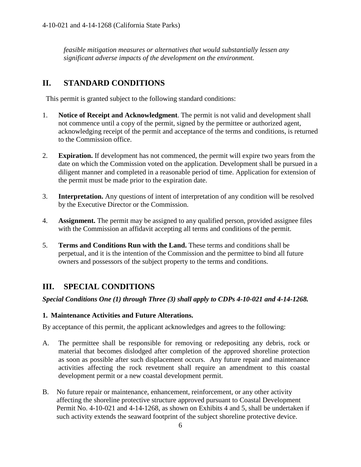*feasible mitigation measures or alternatives that would substantially lessen any significant adverse impacts of the development on the environment.*

### <span id="page-5-0"></span>**II. STANDARD CONDITIONS**

This permit is granted subject to the following standard conditions:

- 1. **Notice of Receipt and Acknowledgment**. The permit is not valid and development shall not commence until a copy of the permit, signed by the permittee or authorized agent, acknowledging receipt of the permit and acceptance of the terms and conditions, is returned to the Commission office.
- 2. **Expiration.** If development has not commenced, the permit will expire two years from the date on which the Commission voted on the application. Development shall be pursued in a diligent manner and completed in a reasonable period of time. Application for extension of the permit must be made prior to the expiration date.
- 3. **Interpretation.** Any questions of intent of interpretation of any condition will be resolved by the Executive Director or the Commission.
- 4. **Assignment.** The permit may be assigned to any qualified person, provided assignee files with the Commission an affidavit accepting all terms and conditions of the permit.
- 5. **Terms and Conditions Run with the Land.** These terms and conditions shall be perpetual, and it is the intention of the Commission and the permittee to bind all future owners and possessors of the subject property to the terms and conditions.

### <span id="page-5-1"></span>**III. SPECIAL CONDITIONS**

*Special Conditions One (1) through Three (3) shall apply to CDPs 4-10-021 and 4-14-1268.*

### <span id="page-5-2"></span>**1. Maintenance Activities and Future Alterations.**

By acceptance of this permit, the applicant acknowledges and agrees to the following:

- A. The permittee shall be responsible for removing or redepositing any debris, rock or material that becomes dislodged after completion of the approved shoreline protection as soon as possible after such displacement occurs. Any future repair and maintenance activities affecting the rock revetment shall require an amendment to this coastal development permit or a new coastal development permit.
- B. No future repair or maintenance, enhancement, reinforcement, or any other activity affecting the shoreline protective structure approved pursuant to Coastal Development Permit No. 4-10-021 and 4-14-1268, as shown on Exhibits 4 and 5, shall be undertaken if such activity extends the seaward footprint of the subject shoreline protective device.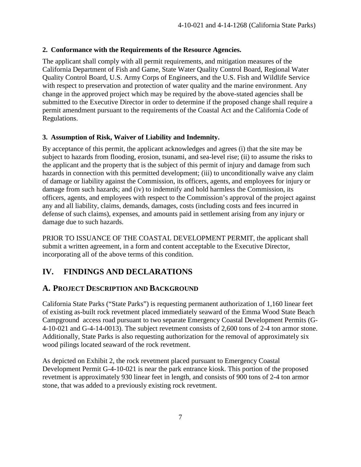### <span id="page-6-0"></span>**2. Conformance with the Requirements of the Resource Agencies.**

The applicant shall comply with all permit requirements, and mitigation measures of the California Department of Fish and Game, State Water Quality Control Board, Regional Water Quality Control Board, U.S. Army Corps of Engineers, and the U.S. Fish and Wildlife Service with respect to preservation and protection of water quality and the marine environment. Any change in the approved project which may be required by the above-stated agencies shall be submitted to the Executive Director in order to determine if the proposed change shall require a permit amendment pursuant to the requirements of the Coastal Act and the California Code of Regulations.

### <span id="page-6-1"></span>**3. Assumption of Risk, Waiver of Liability and Indemnity.**

By acceptance of this permit, the applicant acknowledges and agrees (i) that the site may be subject to hazards from flooding, erosion, tsunami, and sea-level rise; (ii) to assume the risks to the applicant and the property that is the subject of this permit of injury and damage from such hazards in connection with this permitted development; (iii) to unconditionally waive any claim of damage or liability against the Commission, its officers, agents, and employees for injury or damage from such hazards; and (iv) to indemnify and hold harmless the Commission, its officers, agents, and employees with respect to the Commission's approval of the project against any and all liability, claims, demands, damages, costs (including costs and fees incurred in defense of such claims), expenses, and amounts paid in settlement arising from any injury or damage due to such hazards.

PRIOR TO ISSUANCE OF THE COASTAL DEVELOPMENT PERMIT, the applicant shall submit a written agreement, in a form and content acceptable to the Executive Director, incorporating all of the above terms of this condition.

### <span id="page-6-2"></span>**IV. FINDINGS AND DECLARATIONS**

### <span id="page-6-3"></span>**A. PROJECT DESCRIPTION AND BACKGROUND**

California State Parks ("State Parks") is requesting permanent authorization of 1,160 linear feet of existing as-built rock revetment placed immediately seaward of the Emma Wood State Beach Campground access road pursuant to two separate Emergency Coastal Development Permits (G-4-10-021 and G-4-14-0013). The subject revetment consists of 2,600 tons of 2-4 ton armor stone. Additionally, State Parks is also requesting authorization for the removal of approximately six wood pilings located seaward of the rock revetment.

As depicted on Exhibit 2, the rock revetment placed pursuant to Emergency Coastal Development Permit G-4-10-021 is near the park entrance kiosk. This portion of the proposed revetment is approximately 930 linear feet in length, and consists of 900 tons of 2-4 ton armor stone, that was added to a previously existing rock revetment.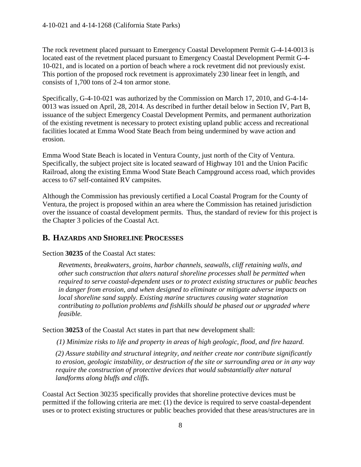The rock revetment placed pursuant to Emergency Coastal Development Permit G-4-14-0013 is located east of the revetment placed pursuant to Emergency Coastal Development Permit G-4- 10-021, and is located on a portion of beach where a rock revetment did not previously exist. This portion of the proposed rock revetment is approximately 230 linear feet in length, and consists of 1,700 tons of 2-4 ton armor stone.

Specifically, G-4-10-021 was authorized by the Commission on March 17, 2010, and G-4-14- 0013 was issued on April, 28, 2014. As described in further detail below in Section IV, Part B, issuance of the subject Emergency Coastal Development Permits, and permanent authorization of the existing revetment is necessary to protect existing upland public access and recreational facilities located at Emma Wood State Beach from being undermined by wave action and erosion.

Emma Wood State Beach is located in Ventura County, just north of the City of Ventura. Specifically, the subject project site is located seaward of Highway 101 and the Union Pacific Railroad, along the existing Emma Wood State Beach Campground access road, which provides access to 67 self-contained RV campsites.

Although the Commission has previously certified a Local Coastal Program for the County of Ventura, the project is proposed within an area where the Commission has retained jurisdiction over the issuance of coastal development permits. Thus, the standard of review for this project is the Chapter 3 policies of the Coastal Act.

### <span id="page-7-0"></span>**B. HAZARDS AND SHORELINE PROCESSES**

Section **30235** of the Coastal Act states:

*Revetments, breakwaters, groins, harbor channels, seawalls, cliff retaining walls, and other such construction that alters natural shoreline processes shall be permitted when required to serve coastal-dependent uses or to protect existing structures or public beaches in danger from erosion, and when designed to eliminate or mitigate adverse impacts on local shoreline sand supply. Existing marine structures causing water stagnation contributing to pollution problems and fishkills should be phased out or upgraded where feasible.*

Section **30253** of the Coastal Act states in part that new development shall:

 *(1) Minimize risks to life and property in areas of high geologic, flood, and fire hazard.* 

*(2) Assure stability and structural integrity, and neither create nor contribute significantly to erosion, geologic instability, or destruction of the site or surrounding area or in any way require the construction of protective devices that would substantially alter natural landforms along bluffs and cliffs.* 

Coastal Act Section 30235 specifically provides that shoreline protective devices must be permitted if the following criteria are met: (1) the device is required to serve coastal-dependent uses or to protect existing structures or public beaches provided that these areas/structures are in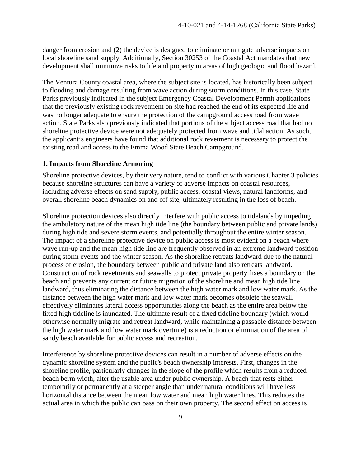danger from erosion and (2) the device is designed to eliminate or mitigate adverse impacts on local shoreline sand supply. Additionally, Section 30253 of the Coastal Act mandates that new development shall minimize risks to life and property in areas of high geologic and flood hazard.

The Ventura County coastal area, where the subject site is located, has historically been subject to flooding and damage resulting from wave action during storm conditions. In this case, State Parks previously indicated in the subject Emergency Coastal Development Permit applications that the previously existing rock revetment on site had reached the end of its expected life and was no longer adequate to ensure the protection of the campground access road from wave action. State Parks also previously indicated that portions of the subject access road that had no shoreline protective device were not adequately protected from wave and tidal action. As such, the applicant's engineers have found that additional rock revetment is necessary to protect the existing road and access to the Emma Wood State Beach Campground.

#### **1. Impacts from Shoreline Armoring**

Shoreline protective devices, by their very nature, tend to conflict with various Chapter 3 policies because shoreline structures can have a variety of adverse impacts on coastal resources, including adverse effects on sand supply, public access, coastal views, natural landforms, and overall shoreline beach dynamics on and off site, ultimately resulting in the loss of beach.

Shoreline protection devices also directly interfere with public access to tidelands by impeding the ambulatory nature of the mean high tide line (the boundary between public and private lands) during high tide and severe storm events, and potentially throughout the entire winter season. The impact of a shoreline protective device on public access is most evident on a beach where wave run-up and the mean high tide line are frequently observed in an extreme landward position during storm events and the winter season. As the shoreline retreats landward due to the natural process of erosion, the boundary between public and private land also retreats landward. Construction of rock revetments and seawalls to protect private property fixes a boundary on the beach and prevents any current or future migration of the shoreline and mean high tide line landward, thus eliminating the distance between the high water mark and low water mark. As the distance between the high water mark and low water mark becomes obsolete the seawall effectively eliminates lateral access opportunities along the beach as the entire area below the fixed high tideline is inundated. The ultimate result of a fixed tideline boundary (which would otherwise normally migrate and retreat landward, while maintaining a passable distance between the high water mark and low water mark overtime) is a reduction or elimination of the area of sandy beach available for public access and recreation.

Interference by shoreline protective devices can result in a number of adverse effects on the dynamic shoreline system and the public's beach ownership interests. First, changes in the shoreline profile, particularly changes in the slope of the profile which results from a reduced beach berm width, alter the usable area under public ownership. A beach that rests either temporarily or permanently at a steeper angle than under natural conditions will have less horizontal distance between the mean low water and mean high water lines. This reduces the actual area in which the public can pass on their own property. The second effect on access is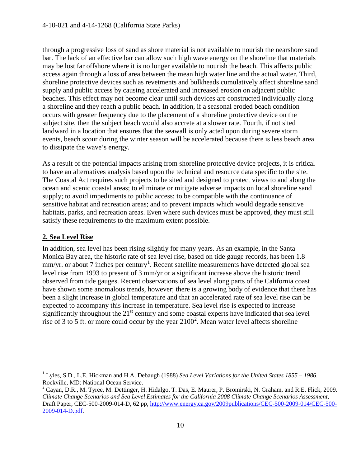through a progressive loss of sand as shore material is not available to nourish the nearshore sand bar. The lack of an effective bar can allow such high wave energy on the shoreline that materials may be lost far offshore where it is no longer available to nourish the beach. This affects public access again through a loss of area between the mean high water line and the actual water. Third, shoreline protective devices such as revetments and bulkheads cumulatively affect shoreline sand supply and public access by causing accelerated and increased erosion on adjacent public beaches. This effect may not become clear until such devices are constructed individually along a shoreline and they reach a public beach. In addition, if a seasonal eroded beach condition occurs with greater frequency due to the placement of a shoreline protective device on the subject site, then the subject beach would also accrete at a slower rate. Fourth, if not sited landward in a location that ensures that the seawall is only acted upon during severe storm events, beach scour during the winter season will be accelerated because there is less beach area to dissipate the wave's energy.

As a result of the potential impacts arising from shoreline protective device projects, it is critical to have an alternatives analysis based upon the technical and resource data specific to the site. The Coastal Act requires such projects to be sited and designed to protect views to and along the ocean and scenic coastal areas; to eliminate or mitigate adverse impacts on local shoreline sand supply; to avoid impediments to public access; to be compatible with the continuance of sensitive habitat and recreation areas; and to prevent impacts which would degrade sensitive habitats, parks, and recreation areas. Even where such devices must be approved, they must still satisfy these requirements to the maximum extent possible.

#### **2. Sea Level Rise**

 $\overline{a}$ 

In addition, sea level has been rising slightly for many years. As an example, in the Santa Monica Bay area, the historic rate of sea level rise, based on tide gauge records, has been 1.8 mm/yr. or about 7 inches per century<sup>[1](#page-9-0)</sup>. Recent satellite measurements have detected global sea level rise from 1993 to present of 3 mm/yr or a significant increase above the historic trend observed from tide gauges. Recent observations of sea level along parts of the California coast have shown some anomalous trends, however; there is a growing body of evidence that there has been a slight increase in global temperature and that an accelerated rate of sea level rise can be expected to accompany this increase in temperature. Sea level rise is expected to increase significantly throughout the  $21<sup>st</sup>$  century and some coastal experts have indicated that sea level rise of 3 to 5 ft. or more could occur by the year  $2100^2$  $2100^2$ . Mean water level affects shoreline

<span id="page-9-0"></span><sup>&</sup>lt;sup>1</sup> Lyles, S.D., L.E. Hickman and H.A. Debaugh (1988) *Sea Level Variations for the United States 1855 – 1986*. Rockville, MD: National Ocean Service.

<span id="page-9-1"></span> $2^2$  Cayan, D.R., M. Tyree, M. Dettinger, H. Hidalgo, T. Das, E. Maurer, P. Bromirski, N. Graham, and R.E. Flick, 2009. *Climate Change Scenarios and Sea Level Estimates for the California 2008 Climate Change Scenarios Assessment*, Draft Paper, CEC-500-2009-014-D, 62 pp, [http://www.energy.ca.gov/2009publications/CEC-500-2009-014/CEC-500-](http://www.energy.ca.gov/2009publications/CEC-500-2009-014/CEC-500-2009-014-D.pdf) [2009-014-D.pdf.](http://www.energy.ca.gov/2009publications/CEC-500-2009-014/CEC-500-2009-014-D.pdf)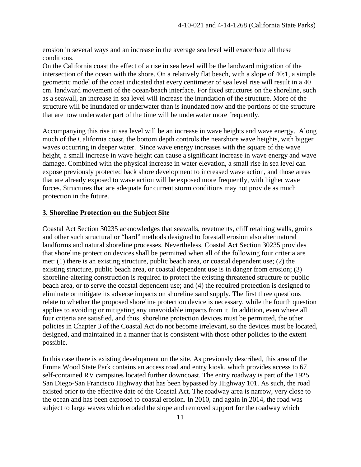erosion in several ways and an increase in the average sea level will exacerbate all these conditions.

On the California coast the effect of a rise in sea level will be the landward migration of the intersection of the ocean with the shore. On a relatively flat beach, with a slope of 40:1, a simple geometric model of the coast indicated that every centimeter of sea level rise will result in a 40 cm. landward movement of the ocean/beach interface. For fixed structures on the shoreline, such as a seawall, an increase in sea level will increase the inundation of the structure. More of the structure will be inundated or underwater than is inundated now and the portions of the structure that are now underwater part of the time will be underwater more frequently.

Accompanying this rise in sea level will be an increase in wave heights and wave energy. Along much of the California coast, the bottom depth controls the nearshore wave heights, with bigger waves occurring in deeper water. Since wave energy increases with the square of the wave height, a small increase in wave height can cause a significant increase in wave energy and wave damage. Combined with the physical increase in water elevation, a small rise in sea level can expose previously protected back shore development to increased wave action, and those areas that are already exposed to wave action will be exposed more frequently, with higher wave forces. Structures that are adequate for current storm conditions may not provide as much protection in the future.

#### **3. Shoreline Protection on the Subject Site**

Coastal Act Section 30235 acknowledges that seawalls, revetments, cliff retaining walls, groins and other such structural or "hard" methods designed to forestall erosion also alter natural landforms and natural shoreline processes. Nevertheless, Coastal Act Section 30235 provides that shoreline protection devices shall be permitted when all of the following four criteria are met: (1) there is an existing structure, public beach area, or coastal dependent use; (2) the existing structure, public beach area, or coastal dependent use is in danger from erosion; (3) shoreline-altering construction is required to protect the existing threatened structure or public beach area, or to serve the coastal dependent use; and (4) the required protection is designed to eliminate or mitigate its adverse impacts on shoreline sand supply. The first three questions relate to whether the proposed shoreline protection device is necessary, while the fourth question applies to avoiding or mitigating any unavoidable impacts from it. In addition, even where all four criteria are satisfied, and thus, shoreline protection devices must be permitted, the other policies in Chapter 3 of the Coastal Act do not become irrelevant, so the devices must be located, designed, and maintained in a manner that is consistent with those other policies to the extent possible.

In this case there is existing development on the site. As previously described, this area of the Emma Wood State Park contains an access road and entry kiosk, which provides access to 67 self-contained RV campsites located further downcoast. The entry roadway is part of the 1925 San Diego-San Francisco Highway that has been bypassed by Highway 101. As such, the road existed prior to the effective date of the Coastal Act. The roadway area is narrow, very close to the ocean and has been exposed to coastal erosion. In 2010, and again in 2014, the road was subject to large waves which eroded the slope and removed support for the roadway which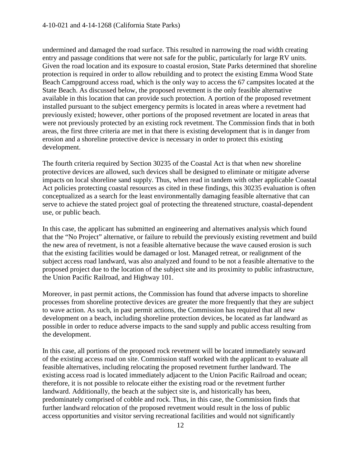undermined and damaged the road surface. This resulted in narrowing the road width creating entry and passage conditions that were not safe for the public, particularly for large RV units. Given the road location and its exposure to coastal erosion, State Parks determined that shoreline protection is required in order to allow rebuilding and to protect the existing Emma Wood State Beach Campground access road, which is the only way to access the 67 campsites located at the State Beach. As discussed below, the proposed revetment is the only feasible alternative available in this location that can provide such protection. A portion of the proposed revetment installed pursuant to the subject emergency permits is located in areas where a revetment had previously existed; however, other portions of the proposed revetment are located in areas that were not previously protected by an existing rock revetment. The Commission finds that in both areas, the first three criteria are met in that there is existing development that is in danger from erosion and a shoreline protective device is necessary in order to protect this existing development.

The fourth criteria required by Section 30235 of the Coastal Act is that when new shoreline protective devices are allowed, such devices shall be designed to eliminate or mitigate adverse impacts on local shoreline sand supply. Thus, when read in tandem with other applicable Coastal Act policies protecting coastal resources as cited in these findings, this 30235 evaluation is often conceptualized as a search for the least environmentally damaging feasible alternative that can serve to achieve the stated project goal of protecting the threatened structure, coastal-dependent use, or public beach.

In this case, the applicant has submitted an engineering and alternatives analysis which found that the "No Project" alternative, or failure to rebuild the previously existing revetment and build the new area of revetment, is not a feasible alternative because the wave caused erosion is such that the existing facilities would be damaged or lost. Managed retreat, or realignment of the subject access road landward, was also analyzed and found to be not a feasible alternative to the proposed project due to the location of the subject site and its proximity to public infrastructure, the Union Pacific Railroad, and Highway 101.

Moreover, in past permit actions, the Commission has found that adverse impacts to shoreline processes from shoreline protective devices are greater the more frequently that they are subject to wave action. As such, in past permit actions, the Commission has required that all new development on a beach, including shoreline protection devices, be located as far landward as possible in order to reduce adverse impacts to the sand supply and public access resulting from the development.

In this case, all portions of the proposed rock revetment will be located immediately seaward of the existing access road on site. Commission staff worked with the applicant to evaluate all feasible alternatives, including relocating the proposed revetment further landward. The existing access road is located immediately adjacent to the Union Pacific Railroad and ocean; therefore, it is not possible to relocate either the existing road or the revetment further landward. Additionally, the beach at the subject site is, and historically has been, predominately comprised of cobble and rock. Thus, in this case, the Commission finds that further landward relocation of the proposed revetment would result in the loss of public access opportunities and visitor serving recreational facilities and would not significantly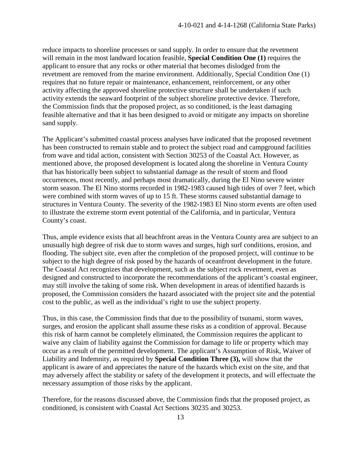reduce impacts to shoreline processes or sand supply. In order to ensure that the revetment will remain in the most landward location feasible, **Special Condition One (1)** requires the applicant to ensure that any rocks or other material that becomes dislodged from the revetment are removed from the marine environment. Additionally, Special Condition One (1) requires that no future repair or maintenance, enhancement, reinforcement, or any other activity affecting the approved shoreline protective structure shall be undertaken if such activity extends the seaward footprint of the subject shoreline protective device. Therefore, the Commission finds that the proposed project, as so conditioned, is the least damaging feasible alternative and that it has been designed to avoid or mitigate any impacts on shoreline sand supply.

The Applicant's submitted coastal process analyses have indicated that the proposed revetment has been constructed to remain stable and to protect the subject road and campground facilities from wave and tidal action, consistent with Section 30253 of the Coastal Act. However, as mentioned above, the proposed development is located along the shoreline in Ventura County that has historically been subject to substantial damage as the result of storm and flood occurrences, most recently, and perhaps most dramatically, during the El Nino severe winter storm season. The El Nino storms recorded in 1982-1983 caused high tides of over 7 feet, which were combined with storm waves of up to 15 ft. These storms caused substantial damage to structures in Ventura County. The severity of the 1982-1983 El Nino storm events are often used to illustrate the extreme storm event potential of the California, and in particular, Ventura County's coast.

Thus, ample evidence exists that all beachfront areas in the Ventura County area are subject to an unusually high degree of risk due to storm waves and surges, high surf conditions, erosion, and flooding. The subject site, even after the completion of the proposed project, will continue to be subject to the high degree of risk posed by the hazards of oceanfront development in the future. The Coastal Act recognizes that development, such as the subject rock revetment, even as designed and constructed to incorporate the recommendations of the applicant's coastal engineer, may still involve the taking of some risk. When development in areas of identified hazards is proposed, the Commission considers the hazard associated with the project site and the potential cost to the public, as well as the individual's right to use the subject property.

Thus, in this case, the Commission finds that due to the possibility of tsunami, storm waves, surges, and erosion the applicant shall assume these risks as a condition of approval. Because this risk of harm cannot be completely eliminated, the Commission requires the applicant to waive any claim of liability against the Commission for damage to life or property which may occur as a result of the permitted development. The applicant's Assumption of Risk, Waiver of Liability and Indemnity, as required by **Special Condition Three (3),** will show that the applicant is aware of and appreciates the nature of the hazards which exist on the site, and that may adversely affect the stability or safety of the development it protects, and will effectuate the necessary assumption of those risks by the applicant.

Therefore, for the reasons discussed above, the Commission finds that the proposed project, as conditioned, is consistent with Coastal Act Sections 30235 and 30253.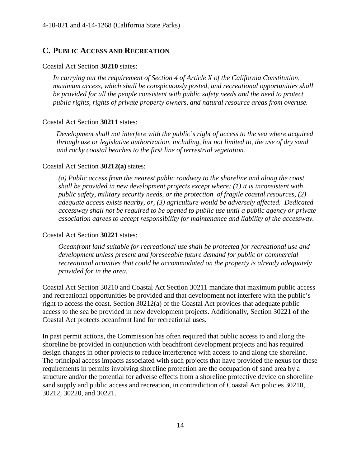### <span id="page-13-0"></span>**C. PUBLIC ACCESS AND RECREATION**

#### Coastal Act Section **30210** states:

*In carrying out the requirement of Section 4 of Article X of the California Constitution, maximum access, which shall be conspicuously posted, and recreational opportunities shall be provided for all the people consistent with public safety needs and the need to protect public rights, rights of private property owners, and natural resource areas from overuse.* 

### Coastal Act Section **30211** states:

*Development shall not interfere with the public's right of access to the sea where acquired through use or legislative authorization, including, but not limited to, the use of dry sand and rocky coastal beaches to the first line of terrestrial vegetation.*

### Coastal Act Section **30212(a)** states:

*(a) Public access from the nearest public roadway to the shoreline and along the coast shall be provided in new development projects except where: (1) it is inconsistent with public safety, military security needs, or the protection of fragile coastal resources, (2) adequate access exists nearby, or, (3) agriculture would be adversely affected. Dedicated accessway shall not be required to be opened to public use until a public agency or private association agrees to accept responsibility for maintenance and liability of the accessway.* 

#### Coastal Act Section **30221** states:

*Oceanfront land suitable for recreational use shall be protected for recreational use and development unless present and foreseeable future demand for public or commercial recreational activities that could be accommodated on the property is already adequately provided for in the area.*

Coastal Act Section 30210 and Coastal Act Section 30211 mandate that maximum public access and recreational opportunities be provided and that development not interfere with the public's right to access the coast. Section 30212(a) of the Coastal Act provides that adequate public access to the sea be provided in new development projects. Additionally, Section 30221 of the Coastal Act protects oceanfront land for recreational uses.

In past permit actions, the Commission has often required that public access to and along the shoreline be provided in conjunction with beachfront development projects and has required design changes in other projects to reduce interference with access to and along the shoreline. The principal access impacts associated with such projects that have provided the nexus for these requirements in permits involving shoreline protection are the occupation of sand area by a structure and/or the potential for adverse effects from a shoreline protective device on shoreline sand supply and public access and recreation, in contradiction of Coastal Act policies 30210, 30212, 30220, and 30221.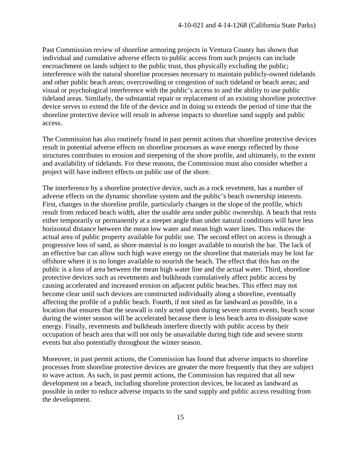Past Commission review of shoreline armoring projects in Ventura County has shown that individual and cumulative adverse effects to public access from such projects can include encroachment on lands subject to the public trust, thus physically excluding the public; interference with the natural shoreline processes necessary to maintain publicly-owned tidelands and other public beach areas; overcrowding or congestion of such tideland or beach areas; and visual or psychological interference with the public's access to and the ability to use public tideland areas. Similarly, the substantial repair or replacement of an existing shoreline protective device serves to extend the life of the device and in doing so extends the period of time that the shoreline protective device will result in adverse impacts to shoreline sand supply and public access.

The Commission has also routinely found in past permit actions that shoreline protective devices result in potential adverse effects on shoreline processes as wave energy reflected by those structures contributes to erosion and steepening of the shore profile, and ultimately, to the extent and availability of tidelands. For these reasons, the Commission must also consider whether a project will have indirect effects on public use of the shore.

The interference by a shoreline protective device, such as a rock revetment, has a number of adverse effects on the dynamic shoreline system and the public's beach ownership interests. First, changes in the shoreline profile, particularly changes in the slope of the profile, which result from reduced beach width, alter the usable area under public ownership. A beach that rests either temporarily or permanently at a steeper angle than under natural conditions will have less horizontal distance between the mean low water and mean high water lines. This reduces the actual area of public property available for public use. The second effect on access is through a progressive loss of sand, as shore material is no longer available to nourish the bar. The lack of an effective bar can allow such high wave energy on the shoreline that materials may be lost far offshore where it is no longer available to nourish the beach. The effect that this has on the public is a loss of area between the mean high water line and the actual water. Third, shoreline protective devices such as revetments and bulkheads cumulatively affect public access by causing accelerated and increased erosion on adjacent public beaches. This effect may not become clear until such devices are constructed individually along a shoreline, eventually affecting the profile of a public beach. Fourth, if not sited as far landward as possible, in a location that ensures that the seawall is only acted upon during severe storm events, beach scour during the winter season will be accelerated because there is less beach area to dissipate wave energy. Finally, revetments and bulkheads interfere directly with public access by their occupation of beach area that will not only be unavailable during high tide and severe storm events but also potentially throughout the winter season.

Moreover, in past permit actions, the Commission has found that adverse impacts to shoreline processes from shoreline protective devices are greater the more frequently that they are subject to wave action. As such, in past permit actions, the Commission has required that all new development on a beach, including shoreline protection devices, be located as landward as possible in order to reduce adverse impacts to the sand supply and public access resulting from the development.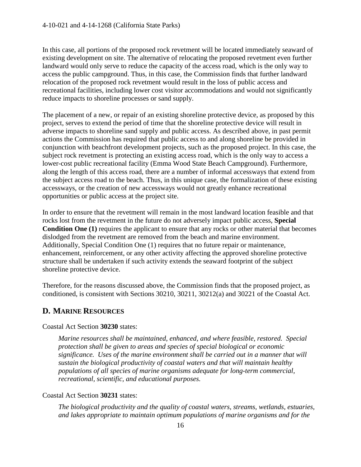In this case, all portions of the proposed rock revetment will be located immediately seaward of existing development on site. The alternative of relocating the proposed revetment even further landward would only serve to reduce the capacity of the access road, which is the only way to access the public campground. Thus, in this case, the Commission finds that further landward relocation of the proposed rock revetment would result in the loss of public access and recreational facilities, including lower cost visitor accommodations and would not significantly reduce impacts to shoreline processes or sand supply.

The placement of a new, or repair of an existing shoreline protective device, as proposed by this project, serves to extend the period of time that the shoreline protective device will result in adverse impacts to shoreline sand supply and public access. As described above, in past permit actions the Commission has required that public access to and along shoreline be provided in conjunction with beachfront development projects, such as the proposed project. In this case, the subject rock revetment is protecting an existing access road, which is the only way to access a lower-cost public recreational facility (Emma Wood State Beach Campground). Furthermore, along the length of this access road, there are a number of informal accessways that extend from the subject access road to the beach. Thus, in this unique case, the formalization of these existing accessways, or the creation of new accessways would not greatly enhance recreational opportunities or public access at the project site.

In order to ensure that the revetment will remain in the most landward location feasible and that rocks lost from the revetment in the future do not adversely impact public access, **Special Condition One (1)** requires the applicant to ensure that any rocks or other material that becomes dislodged from the revetment are removed from the beach and marine environment. Additionally, Special Condition One (1) requires that no future repair or maintenance, enhancement, reinforcement, or any other activity affecting the approved shoreline protective structure shall be undertaken if such activity extends the seaward footprint of the subject shoreline protective device.

Therefore, for the reasons discussed above, the Commission finds that the proposed project, as conditioned, is consistent with Sections 30210, 30211, 30212(a) and 30221 of the Coastal Act.

### <span id="page-15-0"></span>**D. MARINE RESOURCES**

#### Coastal Act Section **30230** states:

*Marine resources shall be maintained, enhanced, and where feasible, restored. Special protection shall be given to areas and species of special biological or economic significance. Uses of the marine environment shall be carried out in a manner that will sustain the biological productivity of coastal waters and that will maintain healthy populations of all species of marine organisms adequate for long-term commercial, recreational, scientific, and educational purposes.* 

#### Coastal Act Section **30231** states:

*The biological productivity and the quality of coastal waters, streams, wetlands, estuaries, and lakes appropriate to maintain optimum populations of marine organisms and for the*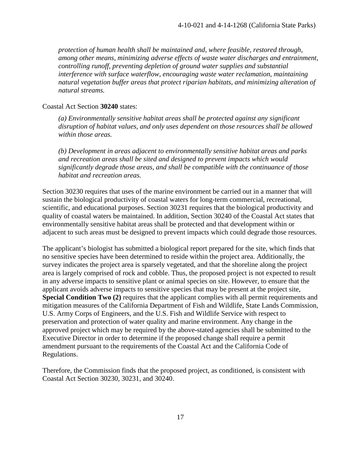*protection of human health shall be maintained and, where feasible, restored through, among other means, minimizing adverse effects of waste water discharges and entrainment, controlling runoff, preventing depletion of ground water supplies and substantial interference with surface waterflow, encouraging waste water reclamation, maintaining natural vegetation buffer areas that protect riparian habitats, and minimizing alteration of natural streams.* 

#### Coastal Act Section **30240** states:

*(a) Environmentally sensitive habitat areas shall be protected against any significant disruption of habitat values, and only uses dependent on those resources shall be allowed within those areas.* 

*(b) Development in areas adjacent to environmentally sensitive habitat areas and parks and recreation areas shall be sited and designed to prevent impacts which would significantly degrade those areas, and shall be compatible with the continuance of those habitat and recreation areas.*

Section 30230 requires that uses of the marine environment be carried out in a manner that will sustain the biological productivity of coastal waters for long-term commercial, recreational, scientific, and educational purposes. Section 30231 requires that the biological productivity and quality of coastal waters be maintained. In addition, Section 30240 of the Coastal Act states that environmentally sensitive habitat areas shall be protected and that development within or adjacent to such areas must be designed to prevent impacts which could degrade those resources.

The applicant's biologist has submitted a biological report prepared for the site, which finds that no sensitive species have been determined to reside within the project area. Additionally, the survey indicates the project area is sparsely vegetated, and that the shoreline along the project area is largely comprised of rock and cobble. Thus, the proposed project is not expected to result in any adverse impacts to sensitive plant or animal species on site. However, to ensure that the applicant avoids adverse impacts to sensitive species that may be present at the project site, **Special Condition Two (2)** requires that the applicant complies with all permit requirements and mitigation measures of the California Department of Fish and Wildlife, State Lands Commission, U.S. Army Corps of Engineers, and the U.S. Fish and Wildlife Service with respect to preservation and protection of water quality and marine environment. Any change in the approved project which may be required by the above-stated agencies shall be submitted to the Executive Director in order to determine if the proposed change shall require a permit amendment pursuant to the requirements of the Coastal Act and the California Code of Regulations.

Therefore, the Commission finds that the proposed project, as conditioned, is consistent with Coastal Act Section 30230, 30231, and 30240.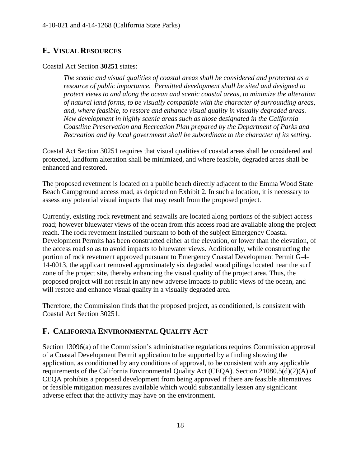### <span id="page-17-0"></span>**E. VISUAL RESOURCES**

### Coastal Act Section **30251** states:

*The scenic and visual qualities of coastal areas shall be considered and protected as a resource of public importance. Permitted development shall be sited and designed to protect views to and along the ocean and scenic coastal areas, to minimize the alteration of natural land forms, to be visually compatible with the character of surrounding areas, and, where feasible, to restore and enhance visual quality in visually degraded areas. New development in highly scenic areas such as those designated in the California Coastline Preservation and Recreation Plan prepared by the Department of Parks and Recreation and by local government shall be subordinate to the character of its setting.* 

Coastal Act Section 30251 requires that visual qualities of coastal areas shall be considered and protected, landform alteration shall be minimized, and where feasible, degraded areas shall be enhanced and restored.

The proposed revetment is located on a public beach directly adjacent to the Emma Wood State Beach Campground access road, as depicted on Exhibit 2. In such a location, it is necessary to assess any potential visual impacts that may result from the proposed project.

Currently, existing rock revetment and seawalls are located along portions of the subject access road; however bluewater views of the ocean from this access road are available along the project reach. The rock revetment installed pursuant to both of the subject Emergency Coastal Development Permits has been constructed either at the elevation, or lower than the elevation, of the access road so as to avoid impacts to bluewater views. Additionally, while constructing the portion of rock revetment approved pursuant to Emergency Coastal Development Permit G-4- 14-0013, the applicant removed approximately six degraded wood pilings located near the surf zone of the project site, thereby enhancing the visual quality of the project area. Thus, the proposed project will not result in any new adverse impacts to public views of the ocean, and will restore and enhance visual quality in a visually degraded area.

Therefore, the Commission finds that the proposed project, as conditioned, is consistent with Coastal Act Section 30251.

### <span id="page-17-1"></span>**F. CALIFORNIA ENVIRONMENTAL QUALITY ACT**

Section 13096(a) of the Commission's administrative regulations requires Commission approval of a Coastal Development Permit application to be supported by a finding showing the application, as conditioned by any conditions of approval, to be consistent with any applicable requirements of the California Environmental Quality Act (CEQA). Section 21080.5(d)(2)(A) of CEQA prohibits a proposed development from being approved if there are feasible alternatives or feasible mitigation measures available which would substantially lessen any significant adverse effect that the activity may have on the environment.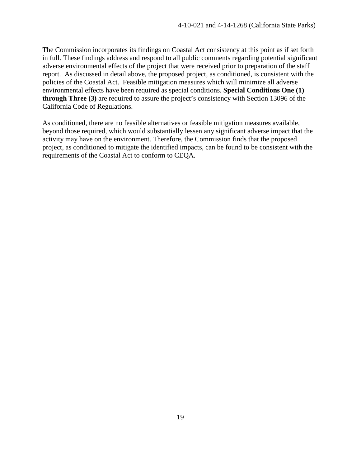The Commission incorporates its findings on Coastal Act consistency at this point as if set forth in full. These findings address and respond to all public comments regarding potential significant adverse environmental effects of the project that were received prior to preparation of the staff report. As discussed in detail above, the proposed project, as conditioned, is consistent with the policies of the Coastal Act. Feasible mitigation measures which will minimize all adverse environmental effects have been required as special conditions. **Special Conditions One (1) through Three (3)** are required to assure the project's consistency with Section 13096 of the California Code of Regulations.

As conditioned, there are no feasible alternatives or feasible mitigation measures available, beyond those required, which would substantially lessen any significant adverse impact that the activity may have on the environment. Therefore, the Commission finds that the proposed project, as conditioned to mitigate the identified impacts, can be found to be consistent with the requirements of the Coastal Act to conform to CEQA.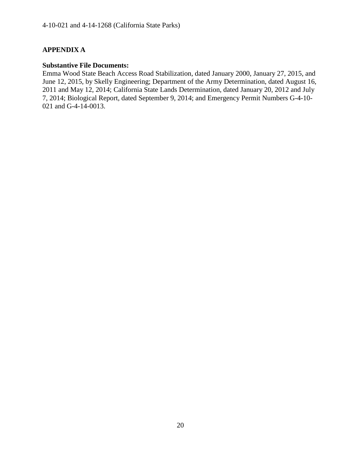### **APPENDIX A**

### **Substantive File Documents:**

Emma Wood State Beach Access Road Stabilization, dated January 2000, January 27, 2015, and June 12, 2015, by Skelly Engineering; Department of the Army Determination, dated August 16, 2011 and May 12, 2014; California State Lands Determination, dated January 20, 2012 and July 7, 2014; Biological Report, dated September 9, 2014; and Emergency Permit Numbers G-4-10- 021 and G-4-14-0013.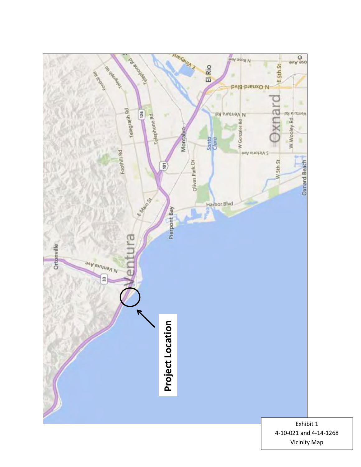

4-10-021 and 4-14-1268 Vicinity Map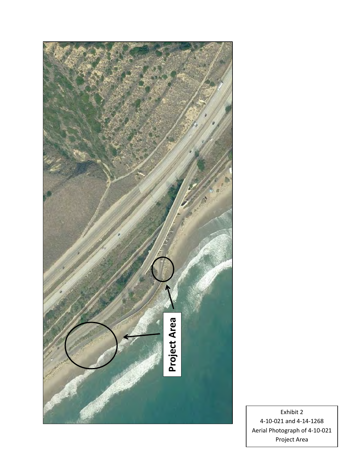

Exhibit 2 4-10-021 and 4-14-1268 Aerial Photograph of 4-10-021 Project Area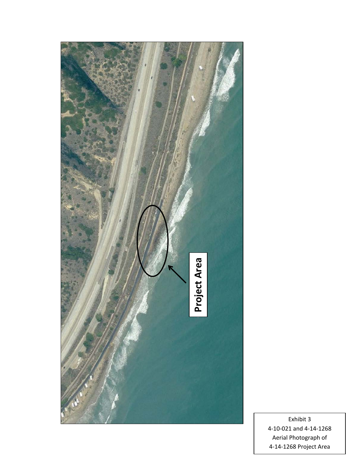

Exhibit 3 4-10-021 and 4-14-1268 Aerial Photograph of 4-14-1268 Project Area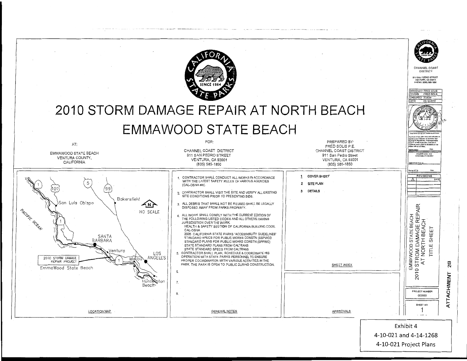

4-10-021 Project Plans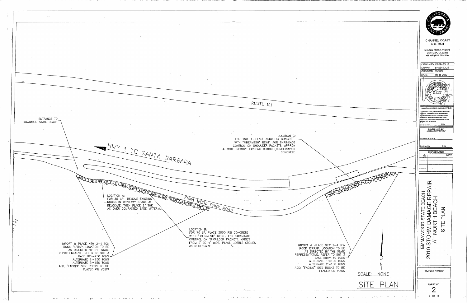

 $\bar{\nu}$ 

|                       | FOR<br><b>CHANNEL COAST</b>                                                                                                                                                                                                                                                                                                                                         |
|-----------------------|---------------------------------------------------------------------------------------------------------------------------------------------------------------------------------------------------------------------------------------------------------------------------------------------------------------------------------------------------------------------|
|                       | <b>DISTRICT</b><br>911 SAN PEDRO STREET<br>VENTURA, CA 93001<br>PHONE (805) 585-1850                                                                                                                                                                                                                                                                                |
|                       | DESIGNED FRED SOLIS<br><b>DRAWN</b><br><b>FRED SOLIS</b><br>CHECKED<br><b>XXXXX</b><br>DATE<br>02-16-2010<br>-42983<br>NO, C<br>EXP. 3-31-16<br>Сŀ                                                                                                                                                                                                                  |
|                       | CALIFORNIA STATE FIRE MARSHAL-APPROVED<br>Approval of this plan does not suthorize or<br>approve any omission of deviaton from<br>epplicable regulations. Final approval is<br>subject to field inspection. One set of<br>spproved plans shall be evaluable on the<br>project site at at times.<br>Date<br>Reviewed by<br>DSA/DPR MOU - 8.01<br>ACCESSIBILITY REVEW |
|                       | CERTIFICATION #<br>Dalo<br>Reviewed by                                                                                                                                                                                                                                                                                                                              |
|                       | <b>REVISIONS</b><br>DATE<br>Λ                                                                                                                                                                                                                                                                                                                                       |
|                       |                                                                                                                                                                                                                                                                                                                                                                     |
|                       | EMMAWOOD STATE BEACH<br>2010 STORM DAMAGE REPAIR<br>AT NORTH BEACH<br>SITE PLAN                                                                                                                                                                                                                                                                                     |
| <b>NONE</b><br>SCALE: | PROJECT NUMBER                                                                                                                                                                                                                                                                                                                                                      |
|                       | SHEET NO.<br>2                                                                                                                                                                                                                                                                                                                                                      |
|                       | $2$ OF $3$                                                                                                                                                                                                                                                                                                                                                          |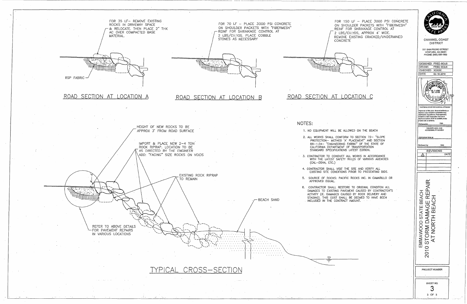FOR 150 LF - PLACE 3000 PSI CONCRETE ON SHOULDER PACKETS WITH "FIBERMESH" REINF FOR SHRINKAGE CONTROL AT 2 LBS/CU.YDS, APPROX 4' WIDE. REMOVE EXISTING CRACKED/UNDERMINED



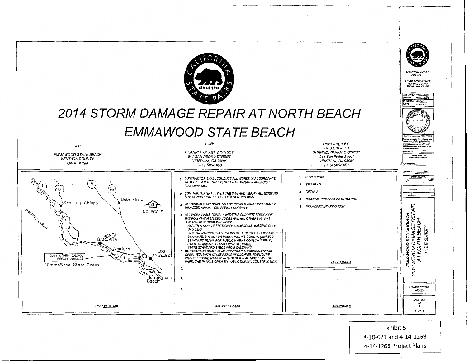

4-10-021 and 4-14-1268 4-14-1268 Project Plans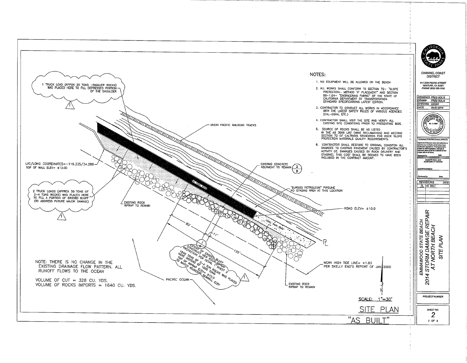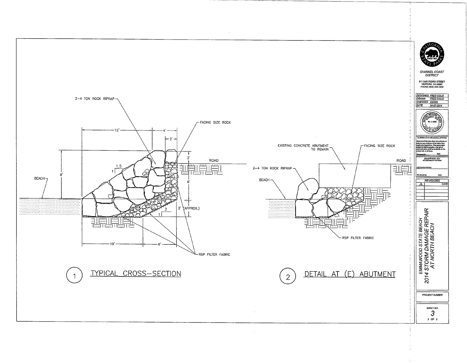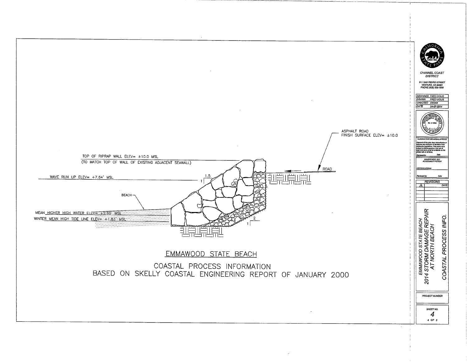